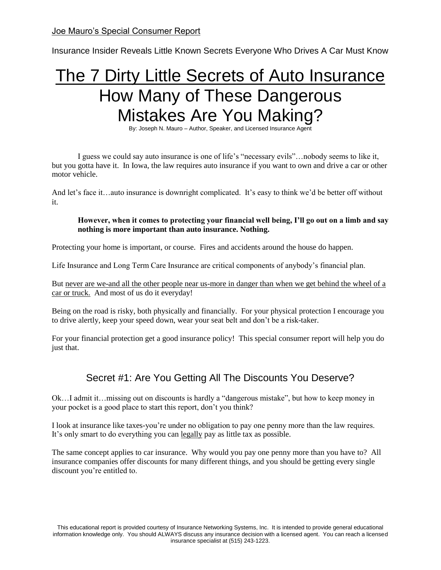Joe Mauro's Special Consumer Report

Insurance Insider Reveals Little Known Secrets Everyone Who Drives A Car Must Know

# The 7 Dirty Little Secrets of Auto Insurance How Many of These Dangerous Mistakes Are You Making?

By: Joseph N. Mauro – Author, Speaker, and Licensed Insurance Agent

I guess we could say auto insurance is one of life's "necessary evils"…nobody seems to like it, but you gotta have it. In Iowa, the law requires auto insurance if you want to own and drive a car or other motor vehicle.

And let's face it…auto insurance is downright complicated. It's easy to think we'd be better off without it.

#### **However, when it comes to protecting your financial well being, I'll go out on a limb and say nothing is more important than auto insurance. Nothing.**

Protecting your home is important, or course. Fires and accidents around the house do happen.

Life Insurance and Long Term Care Insurance are critical components of anybody's financial plan.

But never are we-and all the other people near us-more in danger than when we get behind the wheel of a car or truck. And most of us do it everyday!

Being on the road is risky, both physically and financially. For your physical protection I encourage you to drive alertly, keep your speed down, wear your seat belt and don't be a risk-taker.

For your financial protection get a good insurance policy! This special consumer report will help you do just that.

# Secret #1: Are You Getting All The Discounts You Deserve?

Ok…I admit it…missing out on discounts is hardly a "dangerous mistake", but how to keep money in your pocket is a good place to start this report, don't you think?

I look at insurance like taxes-you're under no obligation to pay one penny more than the law requires. It's only smart to do everything you can legally pay as little tax as possible.

The same concept applies to car insurance. Why would you pay one penny more than you have to? All insurance companies offer discounts for many different things, and you should be getting every single discount you're entitled to.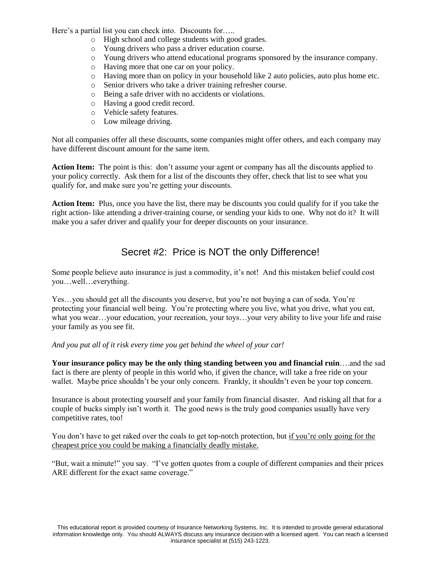Here's a partial list you can check into. Discounts for.....

- o High school and college students with good grades.
- o Young drivers who pass a driver education course.
- o Young drivers who attend educational programs sponsored by the insurance company.
- o Having more that one car on your policy.
- o Having more than on policy in your household like 2 auto policies, auto plus home etc.
- o Senior drivers who take a driver training refresher course.
- o Being a safe driver with no accidents or violations.
- o Having a good credit record.
- o Vehicle safety features.
- o Low mileage driving.

Not all companies offer all these discounts, some companies might offer others, and each company may have different discount amount for the same item.

**Action Item:** The point is this: don't assume your agent or company has all the discounts applied to your policy correctly. Ask them for a list of the discounts they offer, check that list to see what you qualify for, and make sure you're getting your discounts.

**Action Item:** Plus, once you have the list, there may be discounts you could qualify for if you take the right action- like attending a driver-training course, or sending your kids to one. Why not do it? It will make you a safer driver and qualify your for deeper discounts on your insurance.

## Secret #2: Price is NOT the only Difference!

Some people believe auto insurance is just a commodity, it's not! And this mistaken belief could cost you…well…everything.

Yes…you should get all the discounts you deserve, but you're not buying a can of soda. You're protecting your financial well being. You're protecting where you live, what you drive, what you eat, what you wear…your education, your recreation, your toys…your very ability to live your life and raise your family as you see fit.

#### *And you put all of it risk every time you get behind the wheel of your car!*

**Your insurance policy may be the only thing standing between you and financial ruin**….and the sad fact is there are plenty of people in this world who, if given the chance, will take a free ride on your wallet. Maybe price shouldn't be your only concern. Frankly, it shouldn't even be your top concern.

Insurance is about protecting yourself and your family from financial disaster. And risking all that for a couple of bucks simply isn't worth it. The good news is the truly good companies usually have very competitive rates, too!

You don't have to get raked over the coals to get top-notch protection, but if you're only going for the cheapest price you could be making a financially deadly mistake.

"But, wait a minute!" you say. "I've gotten quotes from a couple of different companies and their prices ARE different for the exact same coverage."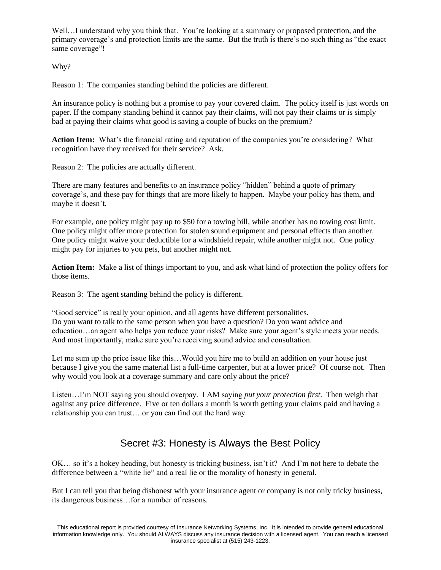Well...I understand why you think that. You're looking at a summary or proposed protection, and the primary coverage's and protection limits are the same. But the truth is there's no such thing as "the exact same coverage"!

Why?

Reason 1: The companies standing behind the policies are different.

An insurance policy is nothing but a promise to pay your covered claim. The policy itself is just words on paper. If the company standing behind it cannot pay their claims, will not pay their claims or is simply bad at paying their claims what good is saving a couple of bucks on the premium?

**Action Item:** What's the financial rating and reputation of the companies you're considering? What recognition have they received for their service? Ask.

Reason 2: The policies are actually different.

There are many features and benefits to an insurance policy "hidden" behind a quote of primary coverage's, and these pay for things that are more likely to happen. Maybe your policy has them, and maybe it doesn't.

For example, one policy might pay up to \$50 for a towing bill, while another has no towing cost limit. One policy might offer more protection for stolen sound equipment and personal effects than another. One policy might waive your deductible for a windshield repair, while another might not. One policy might pay for injuries to you pets, but another might not.

**Action Item:** Make a list of things important to you, and ask what kind of protection the policy offers for those items.

Reason 3: The agent standing behind the policy is different.

"Good service" is really your opinion, and all agents have different personalities. Do you want to talk to the same person when you have a question? Do you want advice and education…an agent who helps you reduce your risks? Make sure your agent's style meets your needs. And most importantly, make sure you're receiving sound advice and consultation.

Let me sum up the price issue like this…Would you hire me to build an addition on your house just because I give you the same material list a full-time carpenter, but at a lower price? Of course not. Then why would you look at a coverage summary and care only about the price?

Listen…I'm NOT saying you should overpay. I AM saying *put your protection first.* Then weigh that against any price difference. Five or ten dollars a month is worth getting your claims paid and having a relationship you can trust….or you can find out the hard way.

# Secret #3: Honesty is Always the Best Policy

OK… so it's a hokey heading, but honesty is tricking business, isn't it? And I'm not here to debate the difference between a "white lie" and a real lie or the morality of honesty in general.

But I can tell you that being dishonest with your insurance agent or company is not only tricky business, its dangerous business…for a number of reasons.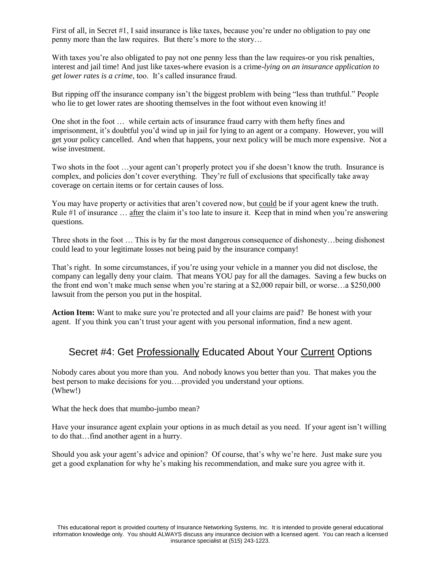First of all, in Secret #1, I said insurance is like taxes, because you're under no obligation to pay one penny more than the law requires. But there's more to the story…

With taxes you're also obligated to pay not one penny less than the law requires-or you risk penalties, interest and jail time! And just like taxes-where evasion is a crime-*lying on an insurance application to get lower rates is a crime*, too. It's called insurance fraud.

But ripping off the insurance company isn't the biggest problem with being "less than truthful." People who lie to get lower rates are shooting themselves in the foot without even knowing it!

One shot in the foot … while certain acts of insurance fraud carry with them hefty fines and imprisonment, it's doubtful you'd wind up in jail for lying to an agent or a company. However, you will get your policy cancelled. And when that happens, your next policy will be much more expensive. Not a wise investment.

Two shots in the foot …your agent can't properly protect you if she doesn't know the truth. Insurance is complex, and policies don't cover everything. They're full of exclusions that specifically take away coverage on certain items or for certain causes of loss.

You may have property or activities that aren't covered now, but could be if your agent knew the truth. Rule #1 of insurance … after the claim it's too late to insure it. Keep that in mind when you're answering questions.

Three shots in the foot … This is by far the most dangerous consequence of dishonesty…being dishonest could lead to your legitimate losses not being paid by the insurance company!

That's right. In some circumstances, if you're using your vehicle in a manner you did not disclose, the company can legally deny your claim. That means YOU pay for all the damages. Saving a few bucks on the front end won't make much sense when you're staring at a \$2,000 repair bill, or worse…a \$250,000 lawsuit from the person you put in the hospital.

Action Item: Want to make sure you're protected and all your claims are paid? Be honest with your agent. If you think you can't trust your agent with you personal information, find a new agent.

## Secret #4: Get Professionally Educated About Your Current Options

Nobody cares about you more than you. And nobody knows you better than you. That makes you the best person to make decisions for you….provided you understand your options. (Whew!)

What the heck does that mumbo-jumbo mean?

Have your insurance agent explain your options in as much detail as you need. If your agent isn't willing to do that…find another agent in a hurry.

Should you ask your agent's advice and opinion? Of course, that's why we're here. Just make sure you get a good explanation for why he's making his recommendation, and make sure you agree with it.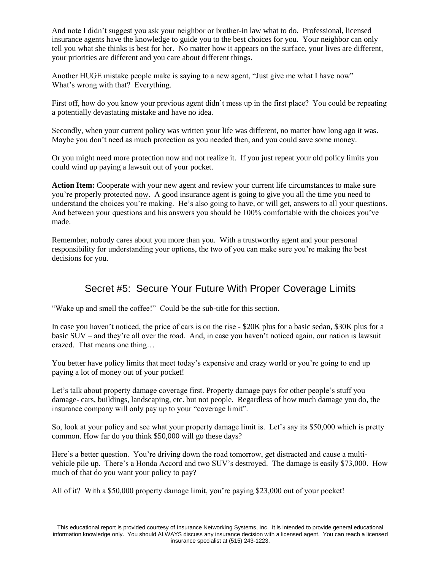And note I didn't suggest you ask your neighbor or brother-in law what to do. Professional, licensed insurance agents have the knowledge to guide you to the best choices for you. Your neighbor can only tell you what she thinks is best for her. No matter how it appears on the surface, your lives are different, your priorities are different and you care about different things.

Another HUGE mistake people make is saying to a new agent, "Just give me what I have now" What's wrong with that? Everything.

First off, how do you know your previous agent didn't mess up in the first place? You could be repeating a potentially devastating mistake and have no idea.

Secondly, when your current policy was written your life was different, no matter how long ago it was. Maybe you don't need as much protection as you needed then, and you could save some money.

Or you might need more protection now and not realize it. If you just repeat your old policy limits you could wind up paying a lawsuit out of your pocket.

**Action Item:** Cooperate with your new agent and review your current life circumstances to make sure you're properly protected now. A good insurance agent is going to give you all the time you need to understand the choices you're making. He's also going to have, or will get, answers to all your questions. And between your questions and his answers you should be 100% comfortable with the choices you've made.

Remember, nobody cares about you more than you. With a trustworthy agent and your personal responsibility for understanding your options, the two of you can make sure you're making the best decisions for you.

## Secret #5: Secure Your Future With Proper Coverage Limits

"Wake up and smell the coffee!" Could be the sub-title for this section.

In case you haven't noticed, the price of cars is on the rise - \$20K plus for a basic sedan, \$30K plus for a basic SUV – and they're all over the road. And, in case you haven't noticed again, our nation is lawsuit crazed. That means one thing…

You better have policy limits that meet today's expensive and crazy world or you're going to end up paying a lot of money out of your pocket!

Let's talk about property damage coverage first. Property damage pays for other people's stuff you damage- cars, buildings, landscaping, etc. but not people. Regardless of how much damage you do, the insurance company will only pay up to your "coverage limit".

So, look at your policy and see what your property damage limit is. Let's say its \$50,000 which is pretty common. How far do you think \$50,000 will go these days?

Here's a better question. You're driving down the road tomorrow, get distracted and cause a multivehicle pile up. There's a Honda Accord and two SUV's destroyed. The damage is easily \$73,000. How much of that do you want your policy to pay?

All of it? With a \$50,000 property damage limit, you're paying \$23,000 out of your pocket!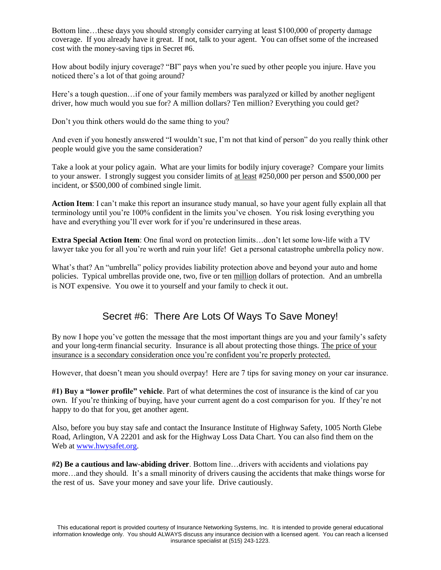Bottom line…these days you should strongly consider carrying at least \$100,000 of property damage coverage. If you already have it great. If not, talk to your agent. You can offset some of the increased cost with the money-saving tips in Secret #6.

How about bodily injury coverage? "BI" pays when you're sued by other people you injure. Have you noticed there's a lot of that going around?

Here's a tough question…if one of your family members was paralyzed or killed by another negligent driver, how much would you sue for? A million dollars? Ten million? Everything you could get?

Don't you think others would do the same thing to you?

And even if you honestly answered "I wouldn't sue, I'm not that kind of person" do you really think other people would give you the same consideration?

Take a look at your policy again. What are your limits for bodily injury coverage? Compare your limits to your answer. I strongly suggest you consider limits of at least #250,000 per person and \$500,000 per incident, or \$500,000 of combined single limit.

**Action Item**: I can't make this report an insurance study manual, so have your agent fully explain all that terminology until you're 100% confident in the limits you've chosen. You risk losing everything you have and everything you'll ever work for if you're underinsured in these areas.

**Extra Special Action Item**: One final word on protection limits…don't let some low-life with a TV lawyer take you for all you're worth and ruin your life! Get a personal catastrophe umbrella policy now.

What's that? An "umbrella" policy provides liability protection above and beyond your auto and home policies. Typical umbrellas provide one, two, five or ten million dollars of protection. And an umbrella is NOT expensive. You owe it to yourself and your family to check it out.

# Secret #6: There Are Lots Of Ways To Save Money!

By now I hope you've gotten the message that the most important things are you and your family's safety and your long-term financial security. Insurance is all about protecting those things. The price of your insurance is a secondary consideration once you're confident you're properly protected.

However, that doesn't mean you should overpay! Here are 7 tips for saving money on your car insurance.

**#1) Buy a "lower profile" vehicle**. Part of what determines the cost of insurance is the kind of car you own. If you're thinking of buying, have your current agent do a cost comparison for you. If they're not happy to do that for you, get another agent.

Also, before you buy stay safe and contact the Insurance Institute of Highway Safety, 1005 North Glebe Road, Arlington, VA 22201 and ask for the Highway Loss Data Chart. You can also find them on the Web at [www.hwysafet.org.](http://www.hwysafet.org/)

**#2) Be a cautious and law-abiding driver**. Bottom line…drivers with accidents and violations pay more…and they should. It's a small minority of drivers causing the accidents that make things worse for the rest of us. Save your money and save your life. Drive cautiously.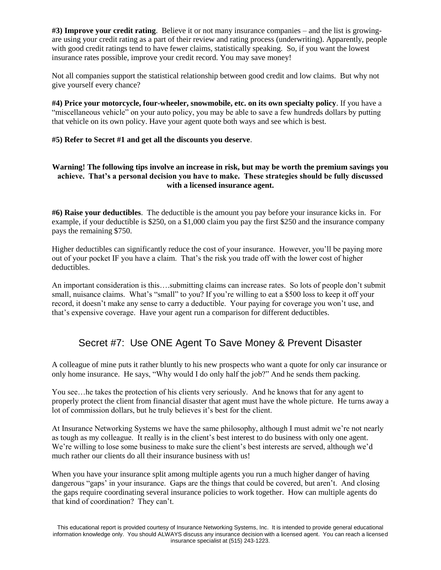**#3) Improve your credit rating**. Believe it or not many insurance companies – and the list is growingare using your credit rating as a part of their review and rating process (underwriting). Apparently, people with good credit ratings tend to have fewer claims, statistically speaking. So, if you want the lowest insurance rates possible, improve your credit record. You may save money!

Not all companies support the statistical relationship between good credit and low claims. But why not give yourself every chance?

**#4) Price your motorcycle, four-wheeler, snowmobile, etc. on its own specialty policy**. If you have a "miscellaneous vehicle" on your auto policy, you may be able to save a few hundreds dollars by putting that vehicle on its own policy. Have your agent quote both ways and see which is best.

#### **#5) Refer to Secret #1 and get all the discounts you deserve**.

#### **Warning! The following tips involve an increase in risk, but may be worth the premium savings you achieve. That's a personal decision you have to make. These strategies should be fully discussed with a licensed insurance agent.**

**#6) Raise your deductibles**. The deductible is the amount you pay before your insurance kicks in. For example, if your deductible is \$250, on a \$1,000 claim you pay the first \$250 and the insurance company pays the remaining \$750.

Higher deductibles can significantly reduce the cost of your insurance. However, you'll be paying more out of your pocket IF you have a claim. That's the risk you trade off with the lower cost of higher deductibles.

An important consideration is this….submitting claims can increase rates. So lots of people don't submit small, nuisance claims. What's "small" to you? If you're willing to eat a \$500 loss to keep it off your record, it doesn't make any sense to carry a deductible. Your paying for coverage you won't use, and that's expensive coverage. Have your agent run a comparison for different deductibles.

## Secret #7: Use ONE Agent To Save Money & Prevent Disaster

A colleague of mine puts it rather bluntly to his new prospects who want a quote for only car insurance or only home insurance. He says, "Why would I do only half the job?" And he sends them packing.

You see…he takes the protection of his clients very seriously. And he knows that for any agent to properly protect the client from financial disaster that agent must have the whole picture. He turns away a lot of commission dollars, but he truly believes it's best for the client.

At Insurance Networking Systems we have the same philosophy, although I must admit we're not nearly as tough as my colleague. It really is in the client's best interest to do business with only one agent. We're willing to lose some business to make sure the client's best interests are served, although we'd much rather our clients do all their insurance business with us!

When you have your insurance split among multiple agents you run a much higher danger of having dangerous "gaps' in your insurance. Gaps are the things that could be covered, but aren't. And closing the gaps require coordinating several insurance policies to work together. How can multiple agents do that kind of coordination? They can't.